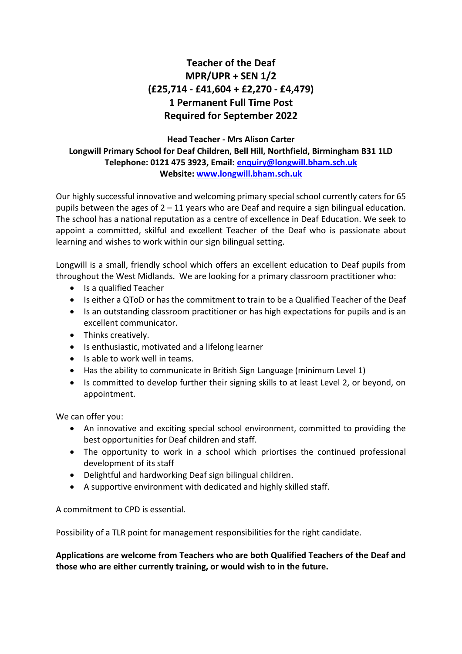## **Teacher of the Deaf MPR/UPR + SEN 1/2 (£25,714 - £41,604 + £2,270 - £4,479) 1 Permanent Full Time Post Required for September 2022**

## **Head Teacher - Mrs Alison Carter Longwill Primary School for Deaf Children, Bell Hill, Northfield, Birmingham B31 1LD Telephone: 0121 475 3923, Email: [enquiry@longwill.bham.sch.uk](mailto:enquiry@longwill.bham.sch.uk) Website: www.longwill.bham.sch.uk**

Our highly successful innovative and welcoming primary special school currently caters for 65 pupils between the ages of  $2 - 11$  years who are Deaf and require a sign bilingual education. The school has a national reputation as a centre of excellence in Deaf Education. We seek to appoint a committed, skilful and excellent Teacher of the Deaf who is passionate about learning and wishes to work within our sign bilingual setting.

Longwill is a small, friendly school which offers an excellent education to Deaf pupils from throughout the West Midlands. We are looking for a primary classroom practitioner who:

- Is a qualified Teacher
- Is either a QToD or has the commitment to train to be a Qualified Teacher of the Deaf
- Is an outstanding classroom practitioner or has high expectations for pupils and is an excellent communicator.
- Thinks creatively.
- Is enthusiastic, motivated and a lifelong learner
- Is able to work well in teams.
- Has the ability to communicate in British Sign Language (minimum Level 1)
- Is committed to develop further their signing skills to at least Level 2, or beyond, on appointment.

We can offer you:

- An innovative and exciting special school environment, committed to providing the best opportunities for Deaf children and staff.
- The opportunity to work in a school which priortises the continued professional development of its staff
- Delightful and hardworking Deaf sign bilingual children.
- A supportive environment with dedicated and highly skilled staff.

A commitment to CPD is essential.

Possibility of a TLR point for management responsibilities for the right candidate.

**Applications are welcome from Teachers who are both Qualified Teachers of the Deaf and those who are either currently training, or would wish to in the future.**